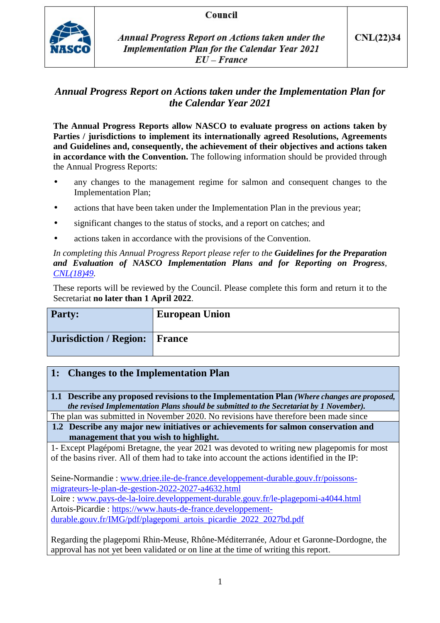## Council



**Annual Progress Report on Actions taken under the Implementation Plan for the Calendar Year 2021**  $EU-France$ 

# *Annual Progress Report on Actions taken under the Implementation Plan for the Calendar Year 2021*

**The Annual Progress Reports allow NASCO to evaluate progress on actions taken by Parties / jurisdictions to implement its internationally agreed Resolutions, Agreements and Guidelines and, consequently, the achievement of their objectives and actions taken in accordance with the Convention.** The following information should be provided through the Annual Progress Reports:

- any changes to the management regime for salmon and consequent changes to the Implementation Plan;
- actions that have been taken under the Implementation Plan in the previous year;
- significant changes to the status of stocks, and a report on catches; and
- actions taken in accordance with the provisions of the Convention.

#### *In completing this Annual Progress Report please refer to the Guidelines for the Preparation and Evaluation of NASCO Implementation Plans and for Reporting on Progress, CNL(18)49.*

These reports will be reviewed by the Council. Please complete this form and return it to the Secretariat **no later than 1 April 2022**.

| Party:                               | <b>European Union</b> |
|--------------------------------------|-----------------------|
| <b>Jurisdiction / Region: France</b> |                       |

# **1: Changes to the Implementation Plan**

**1.1 Describe any proposed revisions to the Implementation Plan** *(Where changes are proposed, the revised Implementation Plans should be submitted to the Secretariat by 1 November).*

The plan was submitted in November 2020. No revisions have therefore been made since

**1.2 Describe any major new initiatives or achievements for salmon conservation and management that you wish to highlight.** 

1- Except Plagépomi Bretagne, the year 2021 was devoted to writing new plagepomis for most of the basins river. All of them had to take into account the actions identified in the IP:

Seine-Normandie : www.driee.ile-de-france.developpement-durable.gouv.fr/poissonsmigrateurs-le-plan-de-gestion-2022-2027-a4632.html Loire : www.pays-de-la-loire.developpement-durable.gouv.fr/le-plagepomi-a4044.html Artois-Picardie : https://www.hauts-de-france.developpementdurable.gouv.fr/IMG/pdf/plagepomi\_artois\_picardie\_2022\_2027bd.pdf

Regarding the plagepomi Rhin-Meuse, Rhône-Méditerranée, Adour et Garonne-Dordogne, the approval has not yet been validated or on line at the time of writing this report.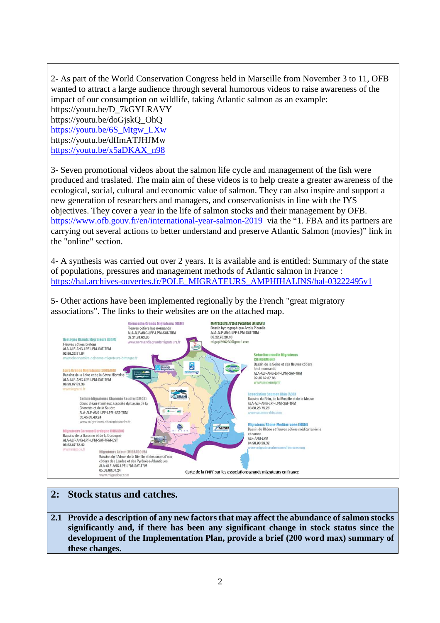2- As part of the World Conservation Congress held in Marseille from November 3 to 11, OFB wanted to attract a large audience through several humorous videos to raise awareness of the impact of our consumption on wildlife, taking Atlantic salmon as an example:

https://youtu.be/D\_7kGYLRAVY https://youtu.be/doGjskQ\_OhQ https://youtu.be/6S\_Mtgw\_LXw https://youtu.be/dfImATJHJMw https://youtu.be/x5aDKAX\_n98

3- Seven promotional videos about the salmon life cycle and management of the fish were produced and traslated. The main aim of these videos is to help create a greater awareness of the ecological, social, cultural and economic value of salmon. They can also inspire and support a new generation of researchers and managers, and conservationists in line with the IYS objectives. They cover a year in the life of salmon stocks and their management by OFB. https://www.ofb.gouv.fr/en/international-year-salmon-2019 via the "1. FBA and its partners are carrying out several actions to better understand and preserve Atlantic Salmon (movies)" link in the "online" section.

4- A synthesis was carried out over 2 years. It is available and is entitled: Summary of the state of populations, pressures and management methods of Atlantic salmon in France : https://hal.archives-ouvertes.fr/POLE\_MIGRATEURS\_AMPHIHALINS/hal-03222495v1

5- Other actions have been implemented regionally by the French "great migratory associations". The links to their websites are on the attached map.



# **2: Stock status and catches.**

**2.1 Provide a description of any new factors that may affect the abundance of salmon stocks significantly and, if there has been any significant change in stock status since the development of the Implementation Plan, provide a brief (200 word max) summary of these changes.**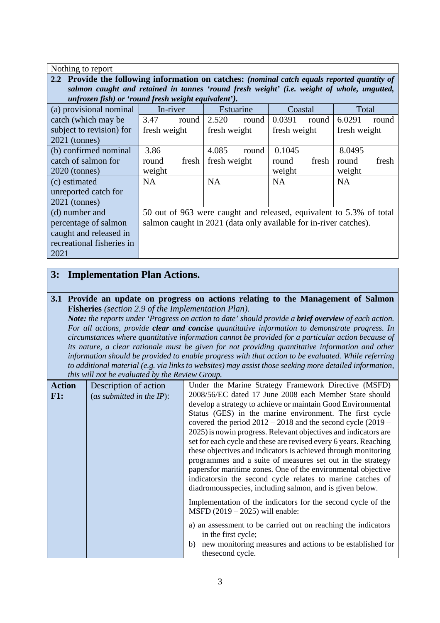| Nothing to report                                   |                                                                                              |       |              |           |              |       |              |       |
|-----------------------------------------------------|----------------------------------------------------------------------------------------------|-------|--------------|-----------|--------------|-------|--------------|-------|
|                                                     | 2.2 Provide the following information on catches: (nominal catch equals reported quantity of |       |              |           |              |       |              |       |
|                                                     | salmon caught and retained in tonnes 'round fresh weight' (i.e. weight of whole, ungutted,   |       |              |           |              |       |              |       |
| unfrozen fish) or 'round fresh weight equivalent'). |                                                                                              |       |              |           |              |       |              |       |
| (a) provisional nominal                             | In-river                                                                                     |       |              | Estuarine | Coastal      |       | Total        |       |
| catch (which may be                                 | 3.47                                                                                         | round | 2.520        | round     | 0.0391       | round | 6.0291       | round |
| subject to revision) for                            | fresh weight                                                                                 |       | fresh weight |           | fresh weight |       | fresh weight |       |
| $2021$ (tonnes)                                     |                                                                                              |       |              |           |              |       |              |       |
| (b) confirmed nominal                               | 3.86                                                                                         |       | 4.085        | round     | 0.1045       |       | 8.0495       |       |
| catch of salmon for                                 | round                                                                                        | fresh | fresh weight |           | round        | fresh | round        | fresh |
| $2020$ (tonnes)                                     | weight                                                                                       |       |              |           | weight       |       | weight       |       |
| (c) estimated                                       | <b>NA</b>                                                                                    |       | <b>NA</b>    |           | <b>NA</b>    |       | <b>NA</b>    |       |
| unreported catch for                                |                                                                                              |       |              |           |              |       |              |       |
| $2021$ (tonnes)                                     |                                                                                              |       |              |           |              |       |              |       |
| (d) number and                                      | 50 out of 963 were caught and released, equivalent to 5.3% of total                          |       |              |           |              |       |              |       |
| percentage of salmon                                | salmon caught in 2021 (data only available for in-river catches).                            |       |              |           |              |       |              |       |
| caught and released in                              |                                                                                              |       |              |           |              |       |              |       |
| recreational fisheries in                           |                                                                                              |       |              |           |              |       |              |       |
| 2021                                                |                                                                                              |       |              |           |              |       |              |       |

# **3: Implementation Plan Actions.**

#### **3.1 Provide an update on progress on actions relating to the Management of Salmon Fisheries** *(section 2.9 of the Implementation Plan).*

*Note: the reports under 'Progress on action to date' should provide a brief overview of each action. For all actions, provide clear and concise quantitative information to demonstrate progress. In circumstances where quantitative information cannot be provided for a particular action because of its nature, a clear rationale must be given for not providing quantitative information and other information should be provided to enable progress with that action to be evaluated. While referring to additional material (e.g. via links to websites) may assist those seeking more detailed information, this will not be evaluated by the Review Group.*

| <b>Action</b> | Description of action        | Under the Marine Strategy Framework Directive (MSFD)             |
|---------------|------------------------------|------------------------------------------------------------------|
| $F1:$         | (as submitted in the $IP$ ): | 2008/56/EC dated 17 June 2008 each Member State should           |
|               |                              | develop a strategy to achieve or maintain Good Environmental     |
|               |                              | Status (GES) in the marine environment. The first cycle          |
|               |                              | covered the period $2012 - 2018$ and the second cycle $(2019 -$  |
|               |                              | 2025) is now in progress. Relevant objectives and indicators are |
|               |                              | set for each cycle and these are revised every 6 years. Reaching |
|               |                              | these objectives and indicators is achieved through monitoring   |
|               |                              | programmes and a suite of measures set out in the strategy       |
|               |                              | papers for maritime zones. One of the environmental objective    |
|               |                              | indicatorsin the second cycle relates to marine catches of       |
|               |                              | diadromous species, including salmon, and is given below.        |
|               |                              |                                                                  |
|               |                              | Implementation of the indicators for the second cycle of the     |
|               |                              | $M$ SFD (2019 – 2025) will enable:                               |
|               |                              | a) an assessment to be carried out on reaching the indicators    |
|               |                              | in the first cycle;                                              |
|               |                              |                                                                  |
|               |                              | new monitoring measures and actions to be established for<br>b)  |
|               |                              | thesecond cycle.                                                 |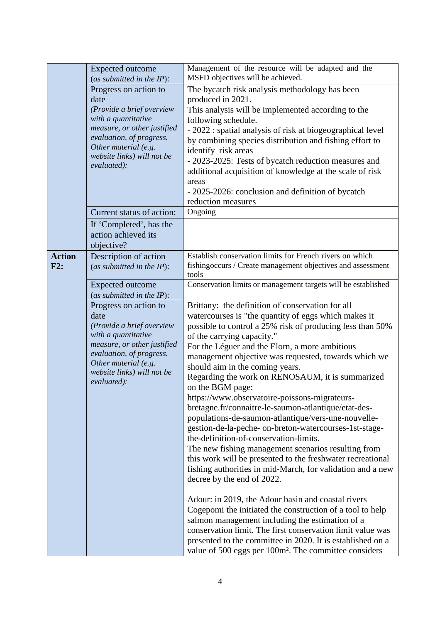|               | (as submitted in the IP):<br>Progress on action to<br>date<br>(Provide a brief overview<br>with a quantitative<br>measure, or other justified<br>evaluation, of progress.<br>Other material (e.g.<br>website links) will not be<br>evaluated): | The bycatch risk analysis methodology has been<br>produced in 2021.<br>This analysis will be implemented according to the<br>following schedule.<br>- 2022 : spatial analysis of risk at biogeographical level<br>by combining species distribution and fishing effort to<br>identify risk areas<br>- 2023-2025: Tests of bycatch reduction measures and                                                                                                                               |
|---------------|------------------------------------------------------------------------------------------------------------------------------------------------------------------------------------------------------------------------------------------------|----------------------------------------------------------------------------------------------------------------------------------------------------------------------------------------------------------------------------------------------------------------------------------------------------------------------------------------------------------------------------------------------------------------------------------------------------------------------------------------|
|               |                                                                                                                                                                                                                                                |                                                                                                                                                                                                                                                                                                                                                                                                                                                                                        |
|               |                                                                                                                                                                                                                                                |                                                                                                                                                                                                                                                                                                                                                                                                                                                                                        |
|               |                                                                                                                                                                                                                                                |                                                                                                                                                                                                                                                                                                                                                                                                                                                                                        |
|               |                                                                                                                                                                                                                                                |                                                                                                                                                                                                                                                                                                                                                                                                                                                                                        |
|               |                                                                                                                                                                                                                                                |                                                                                                                                                                                                                                                                                                                                                                                                                                                                                        |
|               |                                                                                                                                                                                                                                                |                                                                                                                                                                                                                                                                                                                                                                                                                                                                                        |
|               |                                                                                                                                                                                                                                                |                                                                                                                                                                                                                                                                                                                                                                                                                                                                                        |
|               |                                                                                                                                                                                                                                                | additional acquisition of knowledge at the scale of risk                                                                                                                                                                                                                                                                                                                                                                                                                               |
|               |                                                                                                                                                                                                                                                | areas                                                                                                                                                                                                                                                                                                                                                                                                                                                                                  |
|               |                                                                                                                                                                                                                                                | - 2025-2026: conclusion and definition of bycatch                                                                                                                                                                                                                                                                                                                                                                                                                                      |
|               |                                                                                                                                                                                                                                                | reduction measures                                                                                                                                                                                                                                                                                                                                                                                                                                                                     |
|               | Current status of action:                                                                                                                                                                                                                      | Ongoing                                                                                                                                                                                                                                                                                                                                                                                                                                                                                |
|               | If 'Completed', has the                                                                                                                                                                                                                        |                                                                                                                                                                                                                                                                                                                                                                                                                                                                                        |
|               | action achieved its<br>objective?                                                                                                                                                                                                              |                                                                                                                                                                                                                                                                                                                                                                                                                                                                                        |
| <b>Action</b> | Description of action                                                                                                                                                                                                                          | Establish conservation limits for French rivers on which                                                                                                                                                                                                                                                                                                                                                                                                                               |
| F2:           | (as submitted in the IP):                                                                                                                                                                                                                      | fishingoccurs / Create management objectives and assessment                                                                                                                                                                                                                                                                                                                                                                                                                            |
|               |                                                                                                                                                                                                                                                | tools                                                                                                                                                                                                                                                                                                                                                                                                                                                                                  |
|               | <b>Expected outcome</b>                                                                                                                                                                                                                        | Conservation limits or management targets will be established                                                                                                                                                                                                                                                                                                                                                                                                                          |
|               | (as submitted in the $IP$ ):                                                                                                                                                                                                                   |                                                                                                                                                                                                                                                                                                                                                                                                                                                                                        |
|               |                                                                                                                                                                                                                                                |                                                                                                                                                                                                                                                                                                                                                                                                                                                                                        |
|               |                                                                                                                                                                                                                                                |                                                                                                                                                                                                                                                                                                                                                                                                                                                                                        |
|               |                                                                                                                                                                                                                                                |                                                                                                                                                                                                                                                                                                                                                                                                                                                                                        |
|               |                                                                                                                                                                                                                                                |                                                                                                                                                                                                                                                                                                                                                                                                                                                                                        |
|               | evaluation, of progress.                                                                                                                                                                                                                       |                                                                                                                                                                                                                                                                                                                                                                                                                                                                                        |
|               |                                                                                                                                                                                                                                                | should aim in the coming years.                                                                                                                                                                                                                                                                                                                                                                                                                                                        |
|               |                                                                                                                                                                                                                                                | Regarding the work on RENOSAUM, it is summarized                                                                                                                                                                                                                                                                                                                                                                                                                                       |
|               |                                                                                                                                                                                                                                                | on the BGM page:                                                                                                                                                                                                                                                                                                                                                                                                                                                                       |
|               |                                                                                                                                                                                                                                                | https://www.observatoire-poissons-migrateurs-                                                                                                                                                                                                                                                                                                                                                                                                                                          |
|               |                                                                                                                                                                                                                                                |                                                                                                                                                                                                                                                                                                                                                                                                                                                                                        |
|               |                                                                                                                                                                                                                                                |                                                                                                                                                                                                                                                                                                                                                                                                                                                                                        |
|               |                                                                                                                                                                                                                                                |                                                                                                                                                                                                                                                                                                                                                                                                                                                                                        |
|               |                                                                                                                                                                                                                                                |                                                                                                                                                                                                                                                                                                                                                                                                                                                                                        |
|               |                                                                                                                                                                                                                                                | the-definition-of-conservation-limits.                                                                                                                                                                                                                                                                                                                                                                                                                                                 |
|               |                                                                                                                                                                                                                                                | The new fishing management scenarios resulting from                                                                                                                                                                                                                                                                                                                                                                                                                                    |
|               |                                                                                                                                                                                                                                                | this work will be presented to the freshwater recreational<br>fishing authorities in mid-March, for validation and a new                                                                                                                                                                                                                                                                                                                                                               |
|               |                                                                                                                                                                                                                                                | decree by the end of 2022.                                                                                                                                                                                                                                                                                                                                                                                                                                                             |
|               |                                                                                                                                                                                                                                                |                                                                                                                                                                                                                                                                                                                                                                                                                                                                                        |
|               |                                                                                                                                                                                                                                                | Adour: in 2019, the Adour basin and coastal rivers                                                                                                                                                                                                                                                                                                                                                                                                                                     |
|               |                                                                                                                                                                                                                                                | Cogepomi the initiated the construction of a tool to help                                                                                                                                                                                                                                                                                                                                                                                                                              |
|               |                                                                                                                                                                                                                                                | salmon management including the estimation of a                                                                                                                                                                                                                                                                                                                                                                                                                                        |
|               |                                                                                                                                                                                                                                                | conservation limit. The first conservation limit value was<br>presented to the committee in 2020. It is established on a                                                                                                                                                                                                                                                                                                                                                               |
|               | Progress on action to<br>date<br>(Provide a brief overview<br>with a quantitative<br>measure, or other justified<br>Other material (e.g.<br>website links) will not be<br>evaluated):                                                          | Brittany: the definition of conservation for all<br>watercourses is "the quantity of eggs which makes it<br>possible to control a 25% risk of producing less than 50%<br>of the carrying capacity."<br>For the Léguer and the Elorn, a more ambitious<br>management objective was requested, towards which we<br>bretagne.fr/connaitre-le-saumon-atlantique/etat-des-<br>populations-de-saumon-atlantique/vers-une-nouvelle-<br>gestion-de-la-peche- on-breton-watercourses-1st-stage- |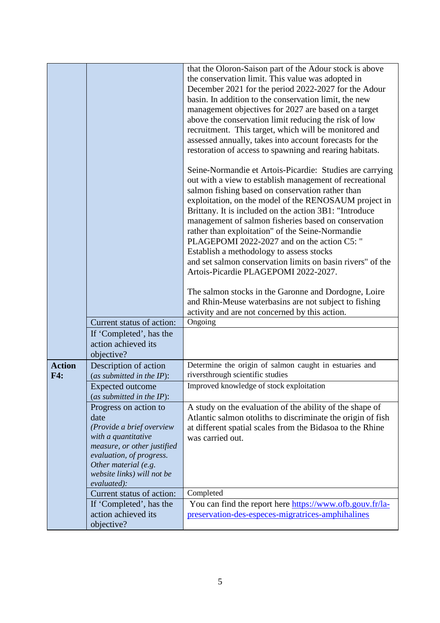|               |                                                                                                                                                                                                                   | that the Oloron-Saison part of the Adour stock is above<br>the conservation limit. This value was adopted in<br>December 2021 for the period 2022-2027 for the Adour<br>basin. In addition to the conservation limit, the new<br>management objectives for 2027 are based on a target<br>above the conservation limit reducing the risk of low<br>recruitment. This target, which will be monitored and<br>assessed annually, takes into account forecasts for the<br>restoration of access to spawning and rearing habitats.                                                                                                                                   |
|---------------|-------------------------------------------------------------------------------------------------------------------------------------------------------------------------------------------------------------------|-----------------------------------------------------------------------------------------------------------------------------------------------------------------------------------------------------------------------------------------------------------------------------------------------------------------------------------------------------------------------------------------------------------------------------------------------------------------------------------------------------------------------------------------------------------------------------------------------------------------------------------------------------------------|
|               |                                                                                                                                                                                                                   | Seine-Normandie et Artois-Picardie: Studies are carrying<br>out with a view to establish management of recreational<br>salmon fishing based on conservation rather than<br>exploitation, on the model of the RENOSAUM project in<br>Brittany. It is included on the action 3B1: "Introduce<br>management of salmon fisheries based on conservation<br>rather than exploitation" of the Seine-Normandie<br>PLAGEPOMI 2022-2027 and on the action C5: "<br>Establish a methodology to assess stocks<br>and set salmon conservation limits on basin rivers" of the<br>Artois-Picardie PLAGEPOMI 2022-2027.<br>The salmon stocks in the Garonne and Dordogne, Loire |
|               |                                                                                                                                                                                                                   | and Rhin-Meuse waterbasins are not subject to fishing<br>activity and are not concerned by this action.                                                                                                                                                                                                                                                                                                                                                                                                                                                                                                                                                         |
|               | Current status of action:                                                                                                                                                                                         | Ongoing                                                                                                                                                                                                                                                                                                                                                                                                                                                                                                                                                                                                                                                         |
|               | If 'Completed', has the<br>action achieved its<br>objective?                                                                                                                                                      |                                                                                                                                                                                                                                                                                                                                                                                                                                                                                                                                                                                                                                                                 |
| <b>Action</b> | Description of action                                                                                                                                                                                             | Determine the origin of salmon caught in estuaries and                                                                                                                                                                                                                                                                                                                                                                                                                                                                                                                                                                                                          |
| F4:           | (as submitted in the $IP$ ):<br><b>Expected outcome</b><br>(as submitted in the IP):                                                                                                                              | riversthrough scientific studies<br>Improved knowledge of stock exploitation                                                                                                                                                                                                                                                                                                                                                                                                                                                                                                                                                                                    |
|               | Progress on action to<br>date<br>(Provide a brief overview<br>with a quantitative<br>measure, or other justified<br>evaluation, of progress.<br>Other material (e.g.<br>website links) will not be<br>evaluated): | A study on the evaluation of the ability of the shape of<br>Atlantic salmon otoliths to discriminate the origin of fish<br>at different spatial scales from the Bidasoa to the Rhine<br>was carried out.                                                                                                                                                                                                                                                                                                                                                                                                                                                        |
|               | Current status of action:                                                                                                                                                                                         | Completed                                                                                                                                                                                                                                                                                                                                                                                                                                                                                                                                                                                                                                                       |
|               | If 'Completed', has the<br>action achieved its<br>objective?                                                                                                                                                      | You can find the report here https://www.ofb.gouv.fr/la-<br>preservation-des-especes-migratrices-amphihalines                                                                                                                                                                                                                                                                                                                                                                                                                                                                                                                                                   |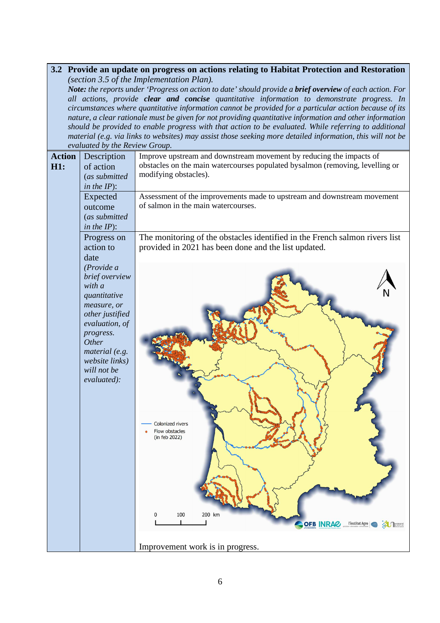### **3.2 Provide an update on progress on actions relating to Habitat Protection and Restoration**  *(section 3.5 of the Implementation Plan).*

*Note: the reports under 'Progress on action to date' should provide a brief overview of each action. For all actions, provide clear and concise quantitative information to demonstrate progress. In circumstances where quantitative information cannot be provided for a particular action because of its nature, a clear rationale must be given for not providing quantitative information and other information should be provided to enable progress with that action to be evaluated. While referring to additional material (e.g. via links to websites) may assist those seeking more detailed information, this will not be evaluated by the Review Group.*

|                      | crannica by me nerien Stomp.                                                                                                                                                                        |                                                                                                                                                                               |
|----------------------|-----------------------------------------------------------------------------------------------------------------------------------------------------------------------------------------------------|-------------------------------------------------------------------------------------------------------------------------------------------------------------------------------|
| <b>Action</b><br>H1: | Description<br>of action<br>(as submitted<br>in the $IP$ :                                                                                                                                          | Improve upstream and downstream movement by reducing the impacts of<br>obstacles on the main watercourses populated bysalmon (removing, levelling or<br>modifying obstacles). |
|                      | Expected<br>outcome<br>(as submitted<br>in the $IP$ :                                                                                                                                               | Assessment of the improvements made to upstream and downstream movement<br>of salmon in the main watercourses.                                                                |
|                      | Progress on<br>action to<br>date                                                                                                                                                                    | The monitoring of the obstacles identified in the French salmon rivers list<br>provided in 2021 has been done and the list updated.                                           |
|                      | (Provide a)<br>brief overview<br>with a<br>quantitative<br>measure, or<br>other justified<br>evaluation, of<br>progress.<br>Other<br>material (e.g.<br>website links)<br>will not be<br>evaluated): | Colonized rivers<br>Flow obstacles<br>(in feb 2022)<br>100<br>200 km<br>0<br><b>OFB INRAC</b><br>l'institut Agro<br><b>EL Avessne</b>                                         |
|                      |                                                                                                                                                                                                     | Improvement work is in progress.                                                                                                                                              |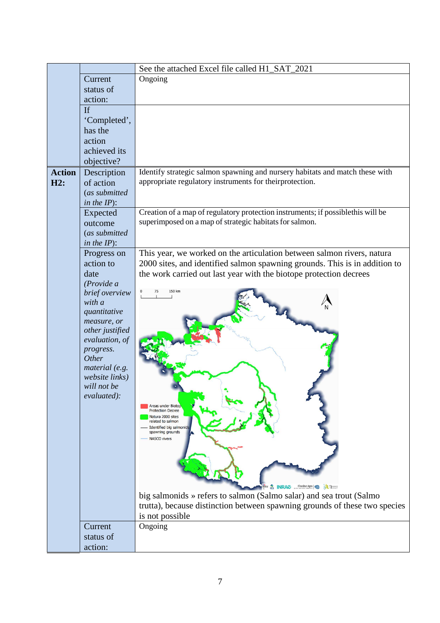|               |                                | See the attached Excel file called H1 SAT 2021                                                |
|---------------|--------------------------------|-----------------------------------------------------------------------------------------------|
|               | Current                        | Ongoing                                                                                       |
|               | status of                      |                                                                                               |
|               | action:                        |                                                                                               |
|               | If                             |                                                                                               |
|               | 'Completed',                   |                                                                                               |
|               | has the                        |                                                                                               |
|               | action                         |                                                                                               |
|               | achieved its                   |                                                                                               |
|               | objective?                     |                                                                                               |
| <b>Action</b> | Description                    | Identify strategic salmon spawning and nursery habitats and match these with                  |
| H2:           | of action                      | appropriate regulatory instruments for theirprotection.                                       |
|               | (as submitted                  |                                                                                               |
|               | in the $IP$ ):                 |                                                                                               |
|               | Expected                       | Creation of a map of regulatory protection instruments; if possiblethis will be               |
|               | outcome                        | superimposed on a map of strategic habitats for salmon.                                       |
|               | (as submitted                  |                                                                                               |
|               | in the $IP$ :                  |                                                                                               |
|               | Progress on                    | This year, we worked on the articulation between salmon rivers, natura                        |
|               | action to                      | 2000 sites, and identified salmon spawning grounds. This is in addition to                    |
|               | date                           | the work carried out last year with the biotope protection decrees                            |
|               | (Provide a                     |                                                                                               |
|               | brief overview                 |                                                                                               |
|               | with a                         |                                                                                               |
|               | quantitative                   |                                                                                               |
|               | measure, or<br>other justified |                                                                                               |
|               | evaluation, of                 |                                                                                               |
|               | progress.                      |                                                                                               |
|               | Other                          |                                                                                               |
|               | material (e.g.                 |                                                                                               |
|               | website links)                 |                                                                                               |
|               | will not be                    |                                                                                               |
|               | evaluated):                    |                                                                                               |
|               |                                | Areas under Biotop<br><b>Protection Decree</b>                                                |
|               |                                | Natura 2000 sites<br>related to salmon                                                        |
|               |                                | Identified big salmonids<br>spawning grounds                                                  |
|               |                                | NASCO rivers                                                                                  |
|               |                                |                                                                                               |
|               |                                |                                                                                               |
|               |                                |                                                                                               |
|               |                                |                                                                                               |
|               |                                | <b>S.</b> INRAZ <b><i>Tinstitut Agro</i></b>                                                  |
|               |                                | big salmonids » refers to salmon (Salmo salar) and sea trout (Salmo                           |
|               |                                | trutta), because distinction between spawning grounds of these two species<br>is not possible |
|               | Current                        | Ongoing                                                                                       |
|               | status of                      |                                                                                               |
|               |                                |                                                                                               |
|               | action:                        |                                                                                               |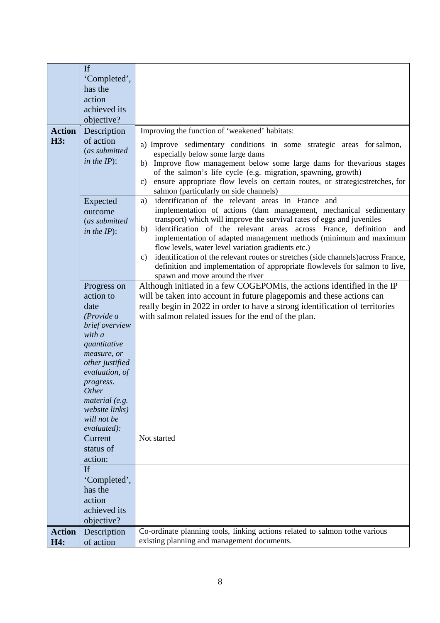|               | If              |                                                                                         |
|---------------|-----------------|-----------------------------------------------------------------------------------------|
|               | 'Completed',    |                                                                                         |
|               | has the         |                                                                                         |
|               | action          |                                                                                         |
|               | achieved its    |                                                                                         |
|               |                 |                                                                                         |
|               | objective?      |                                                                                         |
| <b>Action</b> | Description     | Improving the function of 'weakened' habitats:                                          |
| H3:           | of action       |                                                                                         |
|               | (as submitted   | a) Improve sedimentary conditions in some strategic areas for salmon,                   |
|               | in the $IP$ :   | especially below some large dams                                                        |
|               |                 | Improve flow management below some large dams for the various stages<br>b)              |
|               |                 | of the salmon's life cycle (e.g. migration, spawning, growth)                           |
|               |                 | ensure appropriate flow levels on certain routes, or strategicstretches, for<br>c)      |
|               |                 | salmon (particularly on side channels)                                                  |
|               | Expected        | identification of the relevant areas in France and<br>a)                                |
|               | outcome         | implementation of actions (dam management, mechanical sedimentary                       |
|               | (as submitted   | transport) which will improve the survival rates of eggs and juveniles                  |
|               |                 | identification of the relevant areas across France, definition and<br>b)                |
|               | in the $IP$ :   | implementation of adapted management methods (minimum and maximum                       |
|               |                 | flow levels, water level variation gradients etc.)                                      |
|               |                 |                                                                                         |
|               |                 | identification of the relevant routes or stretches (side channels) across France,<br>c) |
|               |                 | definition and implementation of appropriate flowlevels for salmon to live,             |
|               |                 | spawn and move around the river                                                         |
|               | Progress on     | Although initiated in a few COGEPOMIs, the actions identified in the IP                 |
|               | action to       | will be taken into account in future plagepomis and these actions can                   |
|               | date            | really begin in 2022 in order to have a strong identification of territories            |
|               | (Provide a      | with salmon related issues for the end of the plan.                                     |
|               | brief overview  |                                                                                         |
|               | with a          |                                                                                         |
|               | quantitative    |                                                                                         |
|               |                 |                                                                                         |
|               | measure, or     |                                                                                         |
|               | other justified |                                                                                         |
|               | evaluation, of  |                                                                                         |
|               | progress.       |                                                                                         |
|               | <i>Other</i>    |                                                                                         |
|               | material (e.g.  |                                                                                         |
|               | website links)  |                                                                                         |
|               | will not be     |                                                                                         |
|               | evaluated):     |                                                                                         |
|               | Current         | Not started                                                                             |
|               | status of       |                                                                                         |
|               | action:         |                                                                                         |
|               | <b>If</b>       |                                                                                         |
|               |                 |                                                                                         |
|               | 'Completed',    |                                                                                         |
|               | has the         |                                                                                         |
|               | action          |                                                                                         |
|               | achieved its    |                                                                                         |
|               | objective?      |                                                                                         |
|               |                 | Co-ordinate planning tools, linking actions related to salmon tothe various             |
| <b>Action</b> | Description     |                                                                                         |
| H4:           | of action       | existing planning and management documents.                                             |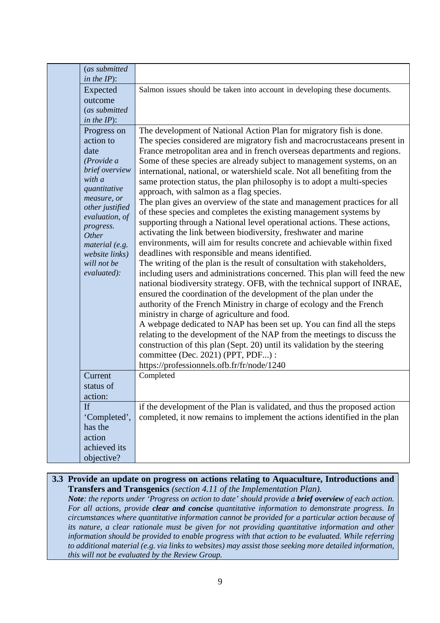|                         | (as submitted<br>in the $IP$ :                                                                                                                                                                              |                                                                                                                                                                                                                                                                                                                                                                                                                                                                                                                                                                                                                                                                                                                                                                                                                                                                                                                                                                                                                                                                                                                                                                                                                                                                                                                                                                                                                                                                                                                                                                                                                                                                                                    |
|-------------------------|-------------------------------------------------------------------------------------------------------------------------------------------------------------------------------------------------------------|----------------------------------------------------------------------------------------------------------------------------------------------------------------------------------------------------------------------------------------------------------------------------------------------------------------------------------------------------------------------------------------------------------------------------------------------------------------------------------------------------------------------------------------------------------------------------------------------------------------------------------------------------------------------------------------------------------------------------------------------------------------------------------------------------------------------------------------------------------------------------------------------------------------------------------------------------------------------------------------------------------------------------------------------------------------------------------------------------------------------------------------------------------------------------------------------------------------------------------------------------------------------------------------------------------------------------------------------------------------------------------------------------------------------------------------------------------------------------------------------------------------------------------------------------------------------------------------------------------------------------------------------------------------------------------------------------|
|                         | Expected<br>outcome<br>(as submitted<br>in the $IP$ :                                                                                                                                                       | Salmon issues should be taken into account in developing these documents.                                                                                                                                                                                                                                                                                                                                                                                                                                                                                                                                                                                                                                                                                                                                                                                                                                                                                                                                                                                                                                                                                                                                                                                                                                                                                                                                                                                                                                                                                                                                                                                                                          |
| date<br>with a<br>Other | Progress on<br>action to<br>(Provide a<br>brief overview<br>quantitative<br>measure, or<br>other justified<br>evaluation, of<br>progress.<br>material (e.g.<br>website links)<br>will not be<br>evaluated): | The development of National Action Plan for migratory fish is done.<br>The species considered are migratory fish and macrocrustaceans present in<br>France metropolitan area and in french overseas departments and regions.<br>Some of these species are already subject to management systems, on an<br>international, national, or watershield scale. Not all benefiting from the<br>same protection status, the plan philosophy is to adopt a multi-species<br>approach, with salmon as a flag species.<br>The plan gives an overview of the state and management practices for all<br>of these species and completes the existing management systems by<br>supporting through a National level operational actions. These actions,<br>activating the link between biodiversity, freshwater and marine<br>environments, will aim for results concrete and achievable within fixed<br>deadlines with responsible and means identified.<br>The writing of the plan is the result of consultation with stakeholders,<br>including users and administrations concerned. This plan will feed the new<br>national biodiversity strategy. OFB, with the technical support of INRAE,<br>ensured the coordination of the development of the plan under the<br>authority of the French Ministry in charge of ecology and the French<br>ministry in charge of agriculture and food.<br>A webpage dedicated to NAP has been set up. You can find all the steps<br>relating to the development of the NAP from the meetings to discuss the<br>construction of this plan (Sept. 20) until its validation by the steering<br>committee (Dec. 2021) (PPT, PDF) :<br>https://professionnels.ofb.fr/fr/node/1240 |
| action:                 | Current<br>status of                                                                                                                                                                                        | Completed                                                                                                                                                                                                                                                                                                                                                                                                                                                                                                                                                                                                                                                                                                                                                                                                                                                                                                                                                                                                                                                                                                                                                                                                                                                                                                                                                                                                                                                                                                                                                                                                                                                                                          |
| If<br>has the<br>action | 'Completed',<br>achieved its<br>objective?                                                                                                                                                                  | if the development of the Plan is validated, and thus the proposed action<br>completed, it now remains to implement the actions identified in the plan                                                                                                                                                                                                                                                                                                                                                                                                                                                                                                                                                                                                                                                                                                                                                                                                                                                                                                                                                                                                                                                                                                                                                                                                                                                                                                                                                                                                                                                                                                                                             |

**3.3 Provide an update on progress on actions relating to Aquaculture, Introductions and Transfers and Transgenics** *(section 4.11 of the Implementation Plan). Note: the reports under 'Progress on action to date' should provide a brief overview of each action. For all actions, provide clear and concise quantitative information to demonstrate progress. In circumstances where quantitative information cannot be provided for a particular action because of its nature, a clear rationale must be given for not providing quantitative information and other information should be provided to enable progress with that action to be evaluated. While referring to additional material (e.g. via links to websites) may assist those seeking more detailed information, this will not be evaluated by the Review Group.*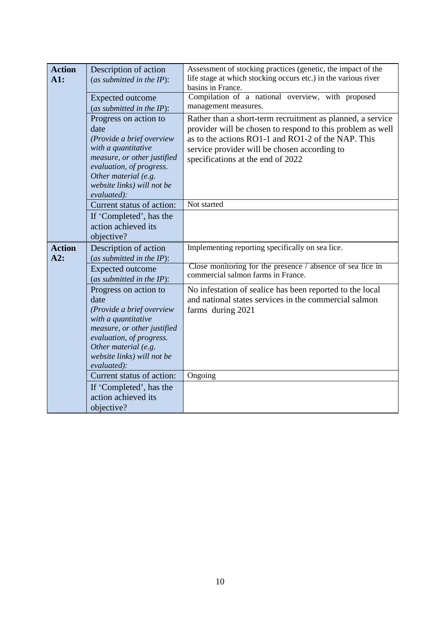| <b>Action</b> |                                                                                                                                                                                                                   | Assessment of stocking practices (genetic, the impact of the                                                                                                                                                                                                        |
|---------------|-------------------------------------------------------------------------------------------------------------------------------------------------------------------------------------------------------------------|---------------------------------------------------------------------------------------------------------------------------------------------------------------------------------------------------------------------------------------------------------------------|
| A1:           | Description of action<br>(as submitted in the $IP$ ):                                                                                                                                                             | life stage at which stocking occurs etc.) in the various river<br>basins in France.                                                                                                                                                                                 |
|               | Expected outcome<br>(as submitted in the $IP$ ):                                                                                                                                                                  | Compilation of a national overview, with proposed<br>management measures.                                                                                                                                                                                           |
|               | Progress on action to<br>date<br>(Provide a brief overview<br>with a quantitative<br>measure, or other justified<br>evaluation, of progress.<br>Other material (e.g.<br>website links) will not be<br>evaluated): | Rather than a short-term recruitment as planned, a service<br>provider will be chosen to respond to this problem as well<br>as to the actions RO1-1 and RO1-2 of the NAP. This<br>service provider will be chosen according to<br>specifications at the end of 2022 |
|               | Current status of action:                                                                                                                                                                                         | Not started                                                                                                                                                                                                                                                         |
|               | If 'Completed', has the<br>action achieved its<br>objective?                                                                                                                                                      |                                                                                                                                                                                                                                                                     |
| <b>Action</b> | Description of action                                                                                                                                                                                             | Implementing reporting specifically on sea lice.                                                                                                                                                                                                                    |
| A2:           | (as submitted in the $IP$ ):                                                                                                                                                                                      |                                                                                                                                                                                                                                                                     |
|               | <b>Expected outcome</b><br>(as submitted in the $IP$ ):                                                                                                                                                           | Close monitoring for the presence / absence of sea lice in<br>commercial salmon farms in France.                                                                                                                                                                    |
|               | Progress on action to<br>date<br>(Provide a brief overview<br>with a quantitative<br>measure, or other justified<br>evaluation, of progress.<br>Other material (e.g.<br>website links) will not be<br>evaluated): | No infestation of sealice has been reported to the local<br>and national states services in the commercial salmon<br>farms during 2021                                                                                                                              |
|               | Current status of action:                                                                                                                                                                                         | Ongoing                                                                                                                                                                                                                                                             |
|               | If 'Completed', has the<br>action achieved its<br>objective?                                                                                                                                                      |                                                                                                                                                                                                                                                                     |